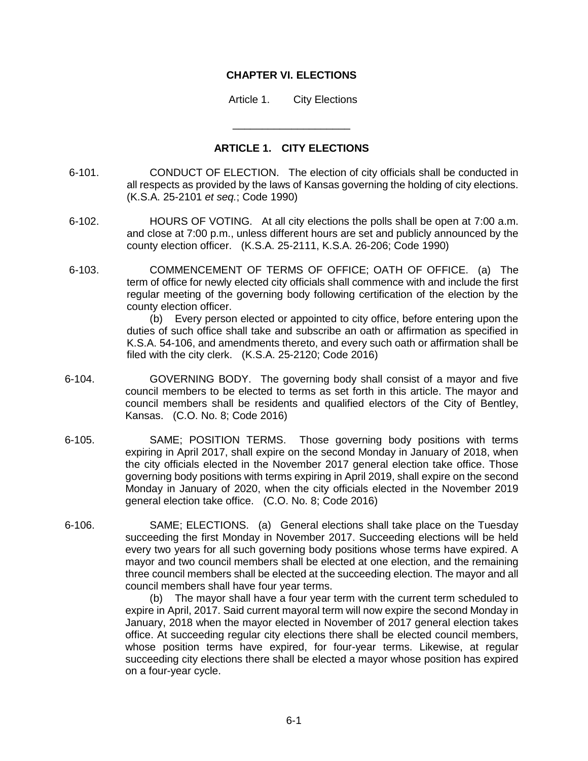## **CHAPTER VI. ELECTIONS**

Article 1. City Elections

## **ARTICLE 1. CITY ELECTIONS**

\_\_\_\_\_\_\_\_\_\_\_\_\_\_\_\_\_\_\_\_

- 6-101. CONDUCT OF ELECTION. The election of city officials shall be conducted in all respects as provided by the laws of Kansas governing the holding of city elections. (K.S.A. 25-2101 *et seq.*; Code 1990)
- 6-102. HOURS OF VOTING. At all city elections the polls shall be open at 7:00 a.m. and close at 7:00 p.m., unless different hours are set and publicly announced by the county election officer. (K.S.A. 25-2111, K.S.A. 26-206; Code 1990)
- 6-103. COMMENCEMENT OF TERMS OF OFFICE; OATH OF OFFICE. (a) The term of office for newly elected city officials shall commence with and include the first regular meeting of the governing body following certification of the election by the county election officer.

(b) Every person elected or appointed to city office, before entering upon the duties of such office shall take and subscribe an oath or affirmation as specified in K.S.A. 54-106, and amendments thereto, and every such oath or affirmation shall be filed with the city clerk. (K.S.A. 25-2120; Code 2016)

- 6-104. GOVERNING BODY. The governing body shall consist of a mayor and five council members to be elected to terms as set forth in this article. The mayor and council members shall be residents and qualified electors of the City of Bentley, Kansas. (C.O. No. 8; Code 2016)
- 6-105. SAME; POSITION TERMS. Those governing body positions with terms expiring in April 2017, shall expire on the second Monday in January of 2018, when the city officials elected in the November 2017 general election take office. Those governing body positions with terms expiring in April 2019, shall expire on the second Monday in January of 2020, when the city officials elected in the November 2019 general election take office. (C.O. No. 8; Code 2016)
- 6-106. SAME; ELECTIONS. (a) General elections shall take place on the Tuesday succeeding the first Monday in November 2017. Succeeding elections will be held every two years for all such governing body positions whose terms have expired. A mayor and two council members shall be elected at one election, and the remaining three council members shall be elected at the succeeding election. The mayor and all council members shall have four year terms.

(b) The mayor shall have a four year term with the current term scheduled to expire in April, 2017. Said current mayoral term will now expire the second Monday in January, 2018 when the mayor elected in November of 2017 general election takes office. At succeeding regular city elections there shall be elected council members, whose position terms have expired, for four-year terms. Likewise, at regular succeeding city elections there shall be elected a mayor whose position has expired on a four-year cycle.